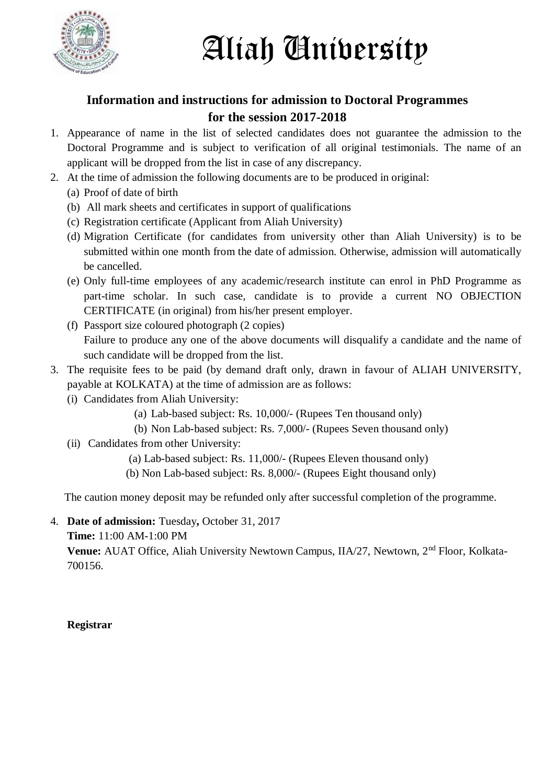

## Aliah University

## **Information and instructions for admission to Doctoral Programmes for the session 2017-2018**

- 1. Appearance of name in the list of selected candidates does not guarantee the admission to the Doctoral Programme and is subject to verification of all original testimonials. The name of an applicant will be dropped from the list in case of any discrepancy.
- 2. At the time of admission the following documents are to be produced in original:
	- (a) Proof of date of birth
	- (b) All mark sheets and certificates in support of qualifications
	- (c) Registration certificate (Applicant from Aliah University)
	- (d) Migration Certificate (for candidates from university other than Aliah University) is to be submitted within one month from the date of admission. Otherwise, admission will automatically be cancelled.
	- (e) Only full-time employees of any academic/research institute can enrol in PhD Programme as part-time scholar. In such case, candidate is to provide a current NO OBJECTION CERTIFICATE (in original) from his/her present employer.
	- (f) Passport size coloured photograph (2 copies) Failure to produce any one of the above documents will disqualify a candidate and the name of such candidate will be dropped from the list.
- 3. The requisite fees to be paid (by demand draft only, drawn in favour of ALIAH UNIVERSITY, payable at KOLKATA) at the time of admission are as follows:
	- (i) Candidates from Aliah University:
		- (a) Lab-based subject: Rs. 10,000/- (Rupees Ten thousand only)
		- (b) Non Lab-based subject: Rs. 7,000/- (Rupees Seven thousand only)
	- (ii) Candidates from other University:
		- (a) Lab-based subject: Rs. 11,000/- (Rupees Eleven thousand only)
		- (b) Non Lab-based subject: Rs. 8,000/- (Rupees Eight thousand only)

The caution money deposit may be refunded only after successful completion of the programme.

4. **Date of admission:** Tuesday**,** October 31, 2017

**Time:** 11:00 AM-1:00 PM

**Venue:** AUAT Office, Aliah University Newtown Campus, IIA/27, Newtown, 2<sup>nd</sup> Floor, Kolkata-700156.

**Registrar**